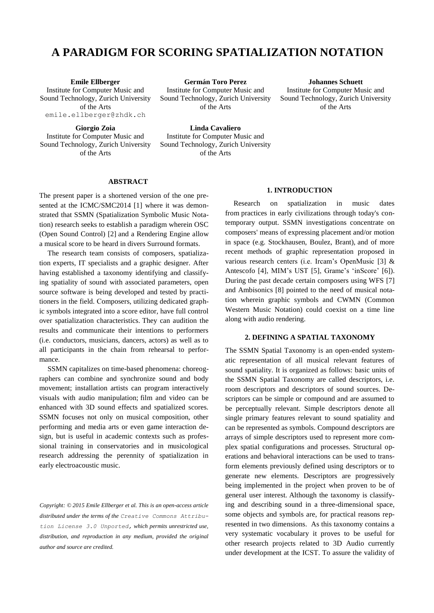# **A PARADIGM FOR SCORING SPATIALIZATION NOTATION**

[Institute for Computer Music and](http://www.acronymfinder.com/Institute-for-Computer-Music-and-Sound-Technology-%28Zurich,-Switzerland%29-%28ICST%29.html)  [Sound Technology,](http://www.acronymfinder.com/Institute-for-Computer-Music-and-Sound-Technology-%28Zurich,-Switzerland%29-%28ICST%29.html) Zurich University of the Arts [emile.ellberger@zhdk.ch](mailto:german.toroperez@zhdk.ch)

**Emile Ellberger Germán Toro Perez Johannes Schuett** [Institute for Computer Music and](http://www.acronymfinder.com/Institute-for-Computer-Music-and-Sound-Technology-%28Zurich,-Switzerland%29-%28ICST%29.html)  [Sound Technology,](http://www.acronymfinder.com/Institute-for-Computer-Music-and-Sound-Technology-%28Zurich,-Switzerland%29-%28ICST%29.html) Zurich University of the Arts

[Institute for Computer Music and](http://www.acronymfinder.com/Institute-for-Computer-Music-and-Sound-Technology-%28Zurich,-Switzerland%29-%28ICST%29.html)  [Sound Technology,](http://www.acronymfinder.com/Institute-for-Computer-Music-and-Sound-Technology-%28Zurich,-Switzerland%29-%28ICST%29.html) Zurich University of the Arts

**Giorgio Zoia Linda Cavaliero** [Institute for Computer Music and](http://www.acronymfinder.com/Institute-for-Computer-Music-and-Sound-Technology-%28Zurich,-Switzerland%29-%28ICST%29.html)  [Sound Technology,](http://www.acronymfinder.com/Institute-for-Computer-Music-and-Sound-Technology-%28Zurich,-Switzerland%29-%28ICST%29.html) Zurich University of the Arts

[Institute for Computer Music and](http://www.acronymfinder.com/Institute-for-Computer-Music-and-Sound-Technology-%28Zurich,-Switzerland%29-%28ICST%29.html)  [Sound Technology,](http://www.acronymfinder.com/Institute-for-Computer-Music-and-Sound-Technology-%28Zurich,-Switzerland%29-%28ICST%29.html) Zurich University of the Arts

## **ABSTRACT**

The present paper is a shortened version of the one presented at the ICMC/SMC2014 [1] where it was demonstrated that SSMN (Spatialization Symbolic Music Notation) research seeks to establish a paradigm wherein OSC (Open Sound Control) [2] and a Rendering Engine allow a musical score to be heard in divers Surround formats.

The research team consists of composers, spatialization experts, IT specialists and a graphic designer. After having established a taxonomy identifying and classifying spatiality of sound with associated parameters, open source software is being developed and tested by practitioners in the field. Composers, utilizing dedicated graphic symbols integrated into a score editor, have full control over spatialization characteristics. They can audition the results and communicate their intentions to performers (i.e. conductors, musicians, dancers, actors) as well as to all participants in the chain from rehearsal to performance.

SSMN capitalizes on time-based phenomena: choreographers can combine and synchronize sound and body movement; installation artists can program interactively visuals with audio manipulation; film and video can be enhanced with 3D sound effects and spatialized scores. SSMN focuses not only on musical composition, other performing and media arts or even game interaction design, but is useful in academic contexts such as professional training in conservatories and in musicological research addressing the perennity of spatialization in early electroacoustic music.

*Copyright: © 2015 Emile Ellberger et al. This is an open-access article distributed under the terms of the [Creative Commons Attribu](http://creativecommons.org/licenses/by/3.0/)[tion License 3.0 Unported,](http://creativecommons.org/licenses/by/3.0/) which permits unrestricted use, distribution, and reproduction in any medium, provided the original author and source are credited.*

## **1. INTRODUCTION**

Research on spatialization in music dates from practices in early civilizations through today's contemporary output. SSMN investigations concentrate on composers' means of expressing placement and/or motion in space (e.g. Stockhausen, Boulez, Brant), and of more recent methods of graphic representation proposed in various research centers (i.e. Ircam's OpenMusic [3] & Antescofo [4], MIM's UST [5], Grame's 'inScore' [6]). During the past decade certain composers using WFS [7] and Ambisonics [8] pointed to the need of musical notation wherein graphic symbols and CWMN (Common Western Music Notation) could coexist on a time line along with audio rendering.

## **2. DEFINING A SPATIAL TAXONOMY**

The SSMN Spatial Taxonomy is an open-ended systematic representation of all musical relevant features of sound spatiality. It is organized as follows: basic units of the SSMN Spatial Taxonomy are called descriptors, i.e. room descriptors and descriptors of sound sources. Descriptors can be simple or compound and are assumed to be perceptually relevant. Simple descriptors denote all single primary features relevant to sound spatiality and can be represented as symbols. Compound descriptors are arrays of simple descriptors used to represent more complex spatial configurations and processes. Structural operations and behavioral interactions can be used to transform elements previously defined using descriptors or to generate new elements. Descriptors are progressively being implemented in the project when proven to be of general user interest. Although the taxonomy is classifying and describing sound in a three-dimensional space, some objects and symbols are, for practical reasons represented in two dimensions. As this taxonomy contains a very systematic vocabulary it proves to be useful for other research projects related to 3D Audio currently under development at the ICST. To assure the validity of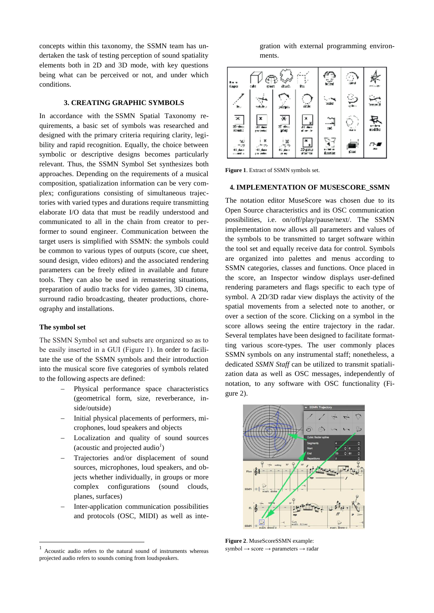concepts within this taxonomy, the SSMN team has undertaken the task of testing perception of sound spatiality elements both in 2D and 3D mode, with key questions being what can be perceived or not, and under which conditions.

# **3. CREATING GRAPHIC SYMBOLS**

In accordance with the SSMN Spatial Taxonomy requirements, a basic set of symbols was researched and designed with the primary criteria requiring clarity, legibility and rapid recognition. Equally, the choice between symbolic or descriptive designs becomes particularly relevant. Thus, the SSMN Symbol Set synthesizes both approaches. Depending on the requirements of a musical composition, spatialization information can be very complex; configurations consisting of simultaneous trajectories with varied types and durations require transmitting elaborate I/O data that must be readily understood and communicated to all in the chain from creator to performer to sound engineer. Communication between the target users is simplified with SSMN: the symbols could be common to various types of outputs (score, cue sheet, sound design, video editors) and the associated rendering parameters can be freely edited in available and future tools. They can also be used in remastering situations, preparation of audio tracks for video games, 3D cinema, surround radio broadcasting, theater productions, choreography and installations.

## **The symbol set**

 $\overline{a}$ 

The SSMN Symbol set and subsets are organized so as to be easily inserted in a GUI (Figure 1). In order to facilitate the use of the SSMN symbols and their introduction into the musical score five categories of symbols related to the following aspects are defined:

- Physical performance space characteristics (geometrical form, size, reverberance, inside/outside)
- Initial physical placements of performers, microphones, loud speakers and objects
- Localization and quality of sound sources (acoustic and projected audio*<sup>1</sup>* )
- Trajectories and/or displacement of sound sources, microphones, loud speakers, and objects whether individually, in groups or more complex configurations (sound clouds, planes, surfaces)
- Inter-application communication possibilities and protocols (OSC, MIDI) as well as inte-

gration with external programming environments.

| <b>Bott</b><br><b>Capta</b>                      | ⊕<br>cabe<br>splast.            | drach                | t.                       | X          |                          | en i stien |
|--------------------------------------------------|---------------------------------|----------------------|--------------------------|------------|--------------------------|------------|
|                                                  |                                 | Eyes.                | de la                    | ×.<br>xde  | رت                       | <u>— і</u> |
| $\overline{\mathbf{x}}$<br>20 percent<br>Seconds | x<br>$-31 + 4 = 7$<br>projector | х<br>क जाता।<br>जन्म | x<br>×<br>五面             | د<br>تاريخ | $\overline{\phantom{a}}$ | nod:Sc:    |
| ×,<br>÷<br>and a                                 | ×<br>⇒                          | х                    | ٠<br>2D gany<br>Wanan ka | dina lar   | 들                        | <u>т.</u>  |

**Figure 1**. Extract of SSMN symbols set.

## **4. IMPLEMENTATION OF MUSESCORE\_SSMN**

The notation editor MuseScore was chosen due to its Open Source characteristics and its OSC communication possibilities, i.e. on/off/play/pause/next/. The SSMN implementation now allows all parameters and values of the symbols to be transmitted to target software within the tool set and equally receive data for control. Symbols are organized into palettes and menus according to SSMN categories, classes and functions. Once placed in the score, an Inspector window displays user-defined rendering parameters and flags specific to each type of symbol. A 2D/3D radar view displays the activity of the spatial movements from a selected note to another, or over a section of the score. Clicking on a symbol in the score allows seeing the entire trajectory in the radar. Several templates have been designed to facilitate formatting various score-types. The user commonly places SSMN symbols on any instrumental staff; nonetheless, a dedicated *SSMN Staff* can be utilized to transmit spatialization data as well as OSC messages, independently of notation, to any software with OSC functionality (Figure 2).



**Figure 2**. MuseScoreSSMN example: symbol → score → parameters → radar

<sup>1</sup> Acoustic audio refers to the natural sound of instruments whereas projected audio refers to sounds coming from loudspeakers.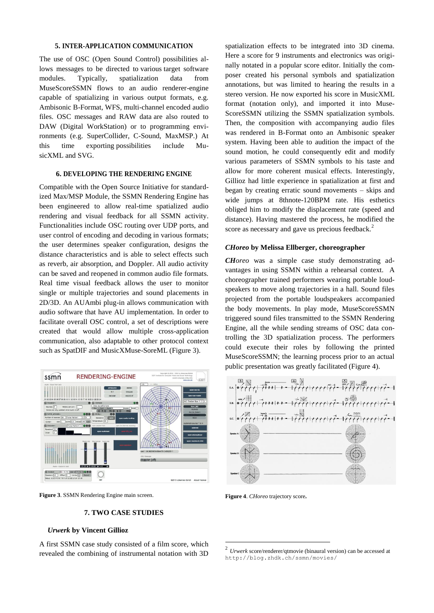# **5. INTER-APPLICATION COMMUNICATION**

The use of OSC (Open Sound Control) possibilities allows messages to be directed to various target software modules. Typically, spatialization data from MuseScoreSSMN flows to an audio renderer-engine capable of spatializing in various output formats, e.g. Ambisonic B-Format, WFS, multi-channel encoded audio files. OSC messages and RAW data are also routed to DAW (Digital WorkStation) or to programming environments (e.g. SuperCollider, C-Sound, MaxMSP.) At this time exporting possibilities include MusicXML and SVG.

## **6. DEVELOPING THE RENDERING ENGINE**

Compatible with the Open Source Initiative for standardized Max/MSP Module, the SSMN Rendering Engine has been engineered to allow real-time spatialized audio rendering and visual feedback for all SSMN activity. Functionalities include OSC routing over UDP ports, and user control of encoding and decoding in various formats; the user determines speaker configuration, designs the distance characteristics and is able to select effects such as reverb, air absorption, and Doppler. All audio activity can be saved and reopened in common audio file formats. Real time visual feedback allows the user to monitor single or multiple trajectories and sound placements in 2D/3D. An AUAmbi plug-in allows communication with audio software that have AU implementation. In order to facilitate overall OSC control, a set of descriptions were created that would allow multiple cross-application communication, also adaptable to other protocol context such as SpatDIF and MusicXMuse-SoreML (Figure 3).



**Figure 3**. SSMN Rendering Engine main screen.

# **7. TWO CASE STUDIES**

#### *Urwerk* **by Vincent Gillioz**

A first SSMN case study consisted of a film score, which revealed the combining of instrumental notation with 3D

spatialization effects to be integrated into 3D cinema. Here a score for 9 instruments and electronics was originally notated in a popular score editor. Initially the composer created his personal symbols and spatialization annotations, but was limited to hearing the results in a stereo version. He now exported his score in MusicXML format (notation only), and imported it into Muse-ScoreSSMN utilizing the SSMN spatialization symbols. Then, the composition with accompanying audio files was rendered in B-Format onto an Ambisonic speaker system. Having been able to audition the impact of the sound motion, he could consequently edit and modify various parameters of SSMN symbols to his taste and allow for more coherent musical effects. Interestingly, Gillioz had little experience in spatialization at first and began by creating erratic sound movements – skips and wide jumps at 8thnote-120BPM rate. His esthetics obliged him to modify the displacement rate (speed and distance). Having mastered the process, he modified the score as necessary and gave us precious feedback.<sup>2</sup>

#### *CHoreo* **by Melissa Ellberger, choreographer**

*CHoreo* was a simple case study demonstrating advantages in using SSMN within a rehearsal context. A choreographer trained performers wearing portable loudspeakers to move along trajectories in a hall. Sound files projected from the portable loudspeakers accompanied the body movements. In play mode, MuseScoreSSMN triggered sound files transmitted to the SSMN Rendering Engine, all the while sending streams of OSC data controlling the 3D spatialization process. The performers could execute their roles by following the printed MuseScoreSSMN; the learning process prior to an actual public presentation was greatly facilitated (Figure 4).



**Figure 4**. *CHoreo* trajectory score**.**

1

<sup>2</sup> *Urwerk* score/renderer/qtmovie (binaural version) can be accessed at <http://blog.zhdk.ch/ssmn/movies/>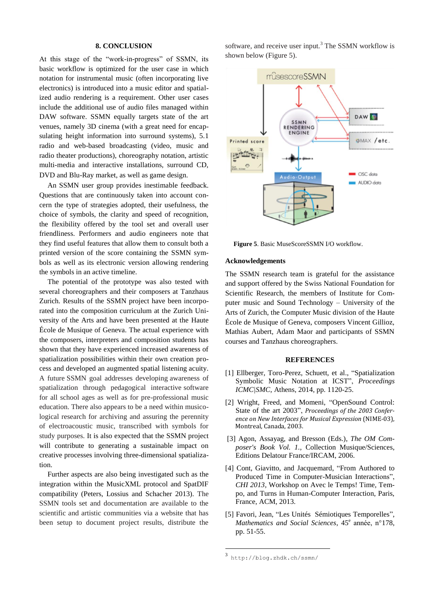## **8. CONCLUSION**

At this stage of the "work-in-progress" of SSMN, its basic workflow is optimized for the user case in which notation for instrumental music (often incorporating live electronics) is introduced into a music editor and spatialized audio rendering is a requirement. Other user cases include the additional use of audio files managed within DAW software. SSMN equally targets state of the art venues, namely 3D cinema (with a great need for encapsulating height information into surround systems), 5.1 radio and web-based broadcasting (video, music and radio theater productions), choreography notation, artistic multi-media and interactive installations, surround CD, DVD and Blu-Ray market, as well as game design.

An SSMN user group provides inestimable feedback. Questions that are continuously taken into account concern the type of strategies adopted, their usefulness, the choice of symbols, the clarity and speed of recognition, the flexibility offered by the tool set and overall user friendliness. Performers and audio engineers note that they find useful features that allow them to consult both a printed version of the score containing the SSMN symbols as well as its electronic version allowing rendering the symbols in an active timeline.

The potential of the prototype was also tested with several choreographers and their composers at Tanzhaus Zurich. Results of the SSMN project have been incorporated into the composition curriculum at the Zurich University of the Arts and have been presented at the Haute École de Musique of Geneva. The actual experience with the composers, interpreters and composition students has shown that they have experienced increased awareness of spatialization possibilities within their own creation process and developed an augmented spatial listening acuity. A future SSMN goal addresses developing awareness of spatialization through pedagogical interactive software for all school ages as well as for pre-professional music education. There also appears to be a need within musicological research for archiving and assuring the perennity of electroacoustic music, transcribed with symbols for study purposes. It is also expected that the SSMN project will contribute to generating a sustainable impact on creative processes involving three-dimensional spatialization.

Further aspects are also being investigated such as the integration within the MusicXML protocol and SpatDIF compatibility (Peters, Lossius and Schacher 2013). The SSMN tools set and documentation are available to the scientific and artistic communities via a website that has been setup to document project results, distribute the

software, and receive user input.<sup>3</sup> The SSMN workflow is shown below (Figure 5).



**Figure 5**. Basic MuseScoreSSMN I/O workflow.

#### **Acknowledgements**

The SSMN research team is grateful for the assistance and support offered by the Swiss National Foundation for Scientific Research, the members of Institute for Computer music and Sound Technology – University of the Arts of Zurich, the Computer Music division of the Haute École de Musique of Geneva, composers Vincent Gillioz, Mathias Aubert, Adam Maor and participants of SSMN courses and Tanzhaus choreographers.

#### **REFERENCES**

- [1] Ellberger, Toro-Perez, Schuett, et al., "Spatialization Symbolic Music Notation at ICST", *Proceedings ICMC|SMC*, Athens, 2014, pp. 1120-25.
- [2] Wright, Freed, and Momeni, "OpenSound Control: State of the art 2003", *Proceedings of the 2003 Conference on New Interfaces for Musical Expression* (NIME-03), Montreal, Canada, 2003.
- [3] Agon, Assayag, and Bresson (Eds.), *The OM Composer's Book Vol. 1.,* Collection Musique/Sciences, Editions Delatour France/IRCAM, 2006.
- [4] Cont, Giavitto, and Jacquemard, "From Authored to Produced Time in Computer-Musician Interactions", *CHI 2013*, Workshop on Avec le Temps! Time, Tempo, and Turns in Human-Computer Interaction, Paris, France, ACM, 2013.
- [5] Favori, Jean, "Les Unités Sémiotiques Temporelles", Mathematics and Social Sciences, 45<sup>e</sup> année, n°178, pp. 51-55.

1

<sup>3</sup> http[://blog.zhdk.ch/ssmn/](http://blog.zhdk.ch/ssmn/)